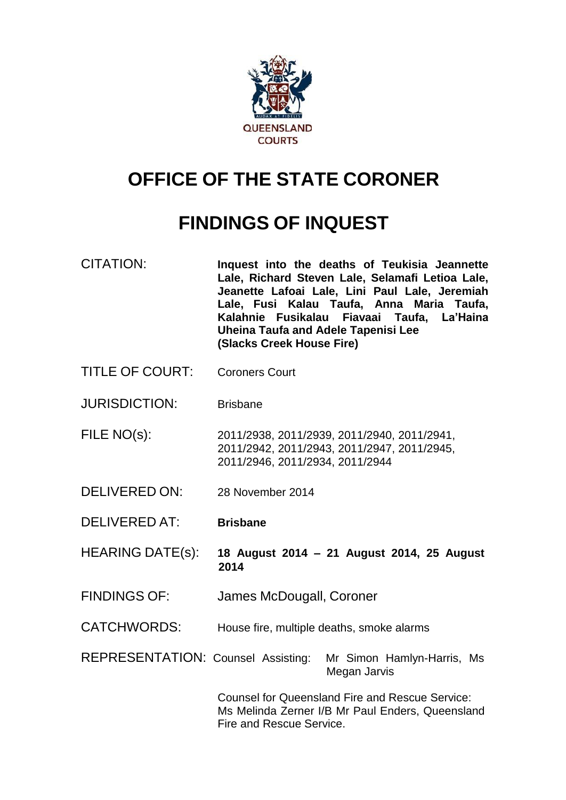

# **OFFICE OF THE STATE CORONER**

# **FINDINGS OF INQUEST**

- CITATION: **Inquest into the deaths of Teukisia Jeannette Lale, Richard Steven Lale, Selamafi Letioa Lale, Jeanette Lafoai Lale, Lini Paul Lale, Jeremiah Lale, Fusi Kalau Taufa, Anna Maria Taufa, Kalahnie Fusikalau Fiavaai Taufa, La'Haina Uheina Taufa and Adele Tapenisi Lee (Slacks Creek House Fire)**
- TITLE OF COURT: Coroners Court
- JURISDICTION: Brisbane
- FILE NO(s): 2011/2938, 2011/2939, 2011/2940, 2011/2941, 2011/2942, 2011/2943, 2011/2947, 2011/2945, 2011/2946, 2011/2934, 2011/2944
- DELIVERED ON: 28 November 2014
- DELIVERED AT: **Brisbane**
- HEARING DATE(s): **18 August 2014 – 21 August 2014, 25 August 2014**
- FINDINGS OF: James McDougall, Coroner
- CATCHWORDS: House fire, multiple deaths, smoke alarms

REPRESENTATION: Counsel Assisting: Mr Simon Hamlyn-Harris, Ms Megan Jarvis

> Counsel for Queensland Fire and Rescue Service: Ms Melinda Zerner I/B Mr Paul Enders, Queensland Fire and Rescue Service.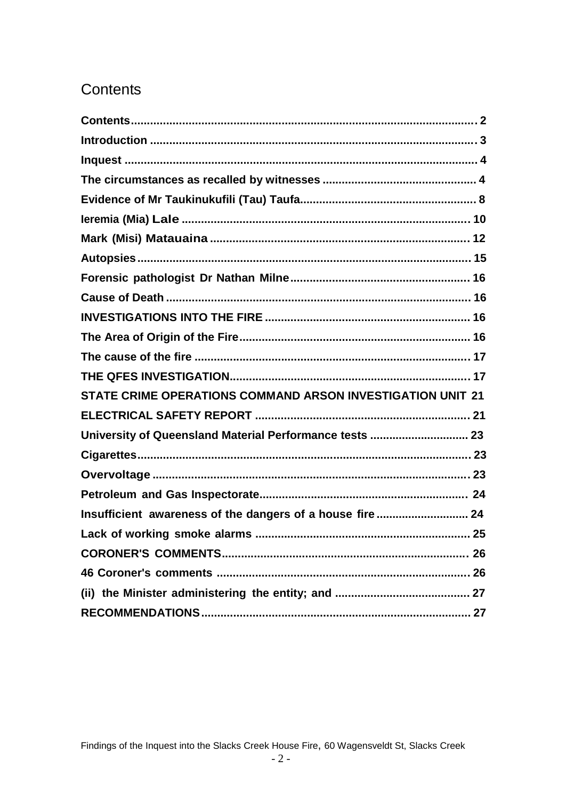# Contents

| STATE CRIME OPERATIONS COMMAND ARSON INVESTIGATION UNIT 21 |
|------------------------------------------------------------|
|                                                            |
| University of Queensland Material Performance tests  23    |
|                                                            |
|                                                            |
|                                                            |
| Insufficient awareness of the dangers of a house fire  24  |
|                                                            |
|                                                            |
|                                                            |
|                                                            |
|                                                            |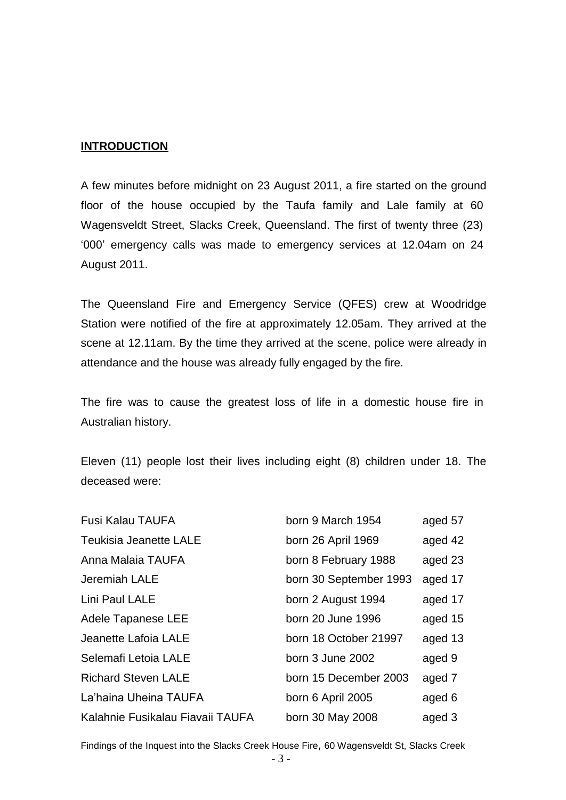#### **INTRODUCTION**

A few minutes before midnight on 23 August 2011, a fire started on the ground floor of the house occupied by the Taufa family and Lale family at 60 Wagensveldt Street, Slacks Creek, Queensland. The first of twenty three (23) '000' emergency calls was made to emergency services at 12.04am on 24 August 2011.

The Queensland Fire and Emergency Service (QFES) crew at Woodridge Station were notified of the fire at approximately 12.05am. They arrived at the scene at 12.11am. By the time they arrived at the scene, police were already in attendance and the house was already fully engaged by the fire.

The fire was to cause the greatest loss of life in a domestic house fire in Australian history.

Eleven (11) people lost their lives including eight (8) children under 18. The deceased were:

| <b>Fusi Kalau TAUFA</b>          | born 9 March 1954      | aged 57 |
|----------------------------------|------------------------|---------|
| <b>Teukisia Jeanette LALE</b>    | born 26 April 1969     | aged 42 |
| Anna Malaia TAUFA                | born 8 February 1988   | aged 23 |
| Jeremiah LALE                    | born 30 September 1993 | aged 17 |
| Lini Paul LALE                   | born 2 August 1994     | aged 17 |
| Adele Tapanese LEE               | born 20 June 1996      | aged 15 |
| Jeanette Lafoia LALE             | born 18 October 21997  | aged 13 |
| Selemafi Letoia LALE             | born 3 June 2002       | aged 9  |
| <b>Richard Steven LALE</b>       | born 15 December 2003  | aged 7  |
| La'haina Uheina TAUFA            | born 6 April 2005      | aged 6  |
| Kalahnie Fusikalau Fiavaii TAUFA | born 30 May 2008       | aged 3  |

Findings of the Inquest into the Slacks Creek House Fire, 60 Wagensveldt St, Slacks Creek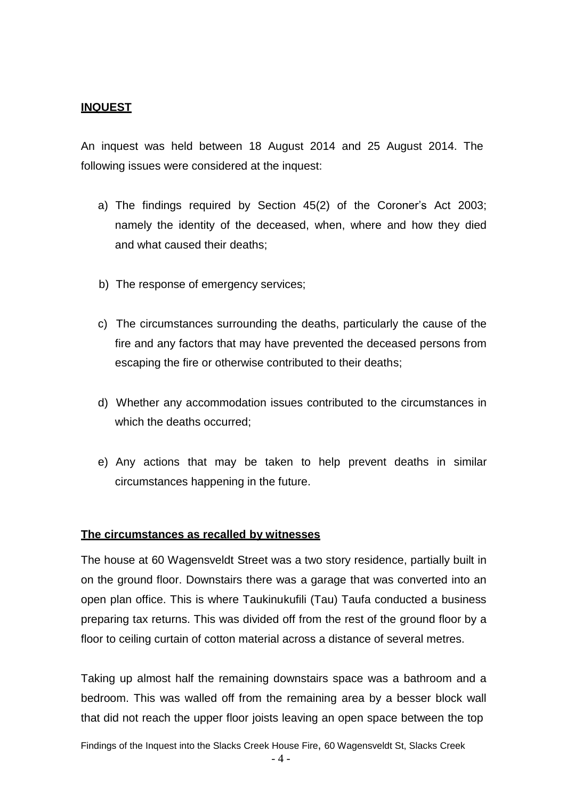# **INQUEST**

An inquest was held between 18 August 2014 and 25 August 2014. The following issues were considered at the inquest:

- a) The findings required by Section 45(2) of the Coroner's Act 2003; namely the identity of the deceased, when, where and how they died and what caused their deaths;
- b) The response of emergency services;
- c) The circumstances surrounding the deaths, particularly the cause of the fire and any factors that may have prevented the deceased persons from escaping the fire or otherwise contributed to their deaths;
- d) Whether any accommodation issues contributed to the circumstances in which the deaths occurred;
- e) Any actions that may be taken to help prevent deaths in similar circumstances happening in the future.

#### **The circumstances as recalled by witnesses**

The house at 60 Wagensveldt Street was a two story residence, partially built in on the ground floor. Downstairs there was a garage that was converted into an open plan office. This is where Taukinukufili (Tau) Taufa conducted a business preparing tax returns. This was divided off from the rest of the ground floor by a floor to ceiling curtain of cotton material across a distance of several metres.

Taking up almost half the remaining downstairs space was a bathroom and a bedroom. This was walled off from the remaining area by a besser block wall that did not reach the upper floor joists leaving an open space between the top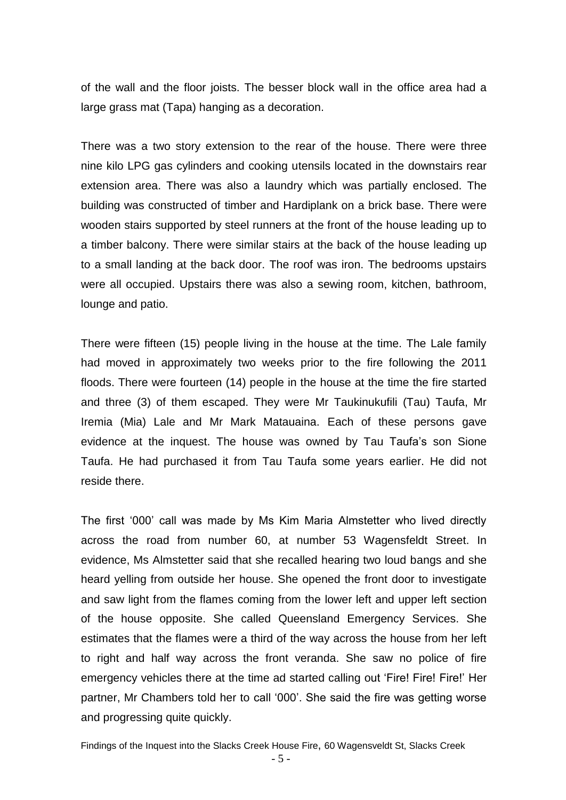of the wall and the floor joists. The besser block wall in the office area had a large grass mat (Tapa) hanging as a decoration.

There was a two story extension to the rear of the house. There were three nine kilo LPG gas cylinders and cooking utensils located in the downstairs rear extension area. There was also a laundry which was partially enclosed. The building was constructed of timber and Hardiplank on a brick base. There were wooden stairs supported by steel runners at the front of the house leading up to a timber balcony. There were similar stairs at the back of the house leading up to a small landing at the back door. The roof was iron. The bedrooms upstairs were all occupied. Upstairs there was also a sewing room, kitchen, bathroom, lounge and patio.

There were fifteen (15) people living in the house at the time. The Lale family had moved in approximately two weeks prior to the fire following the 2011 floods. There were fourteen (14) people in the house at the time the fire started and three (3) of them escaped. They were Mr Taukinukufili (Tau) Taufa, Mr Iremia (Mia) Lale and Mr Mark Matauaina. Each of these persons gave evidence at the inquest. The house was owned by Tau Taufa's son Sione Taufa. He had purchased it from Tau Taufa some years earlier. He did not reside there.

The first '000' call was made by Ms Kim Maria Almstetter who lived directly across the road from number 60, at number 53 Wagensfeldt Street. In evidence, Ms Almstetter said that she recalled hearing two loud bangs and she heard yelling from outside her house. She opened the front door to investigate and saw light from the flames coming from the lower left and upper left section of the house opposite. She called Queensland Emergency Services. She estimates that the flames were a third of the way across the house from her left to right and half way across the front veranda. She saw no police of fire emergency vehicles there at the time ad started calling out 'Fire! Fire! Fire!' Her partner, Mr Chambers told her to call '000'. She said the fire was getting worse and progressing quite quickly.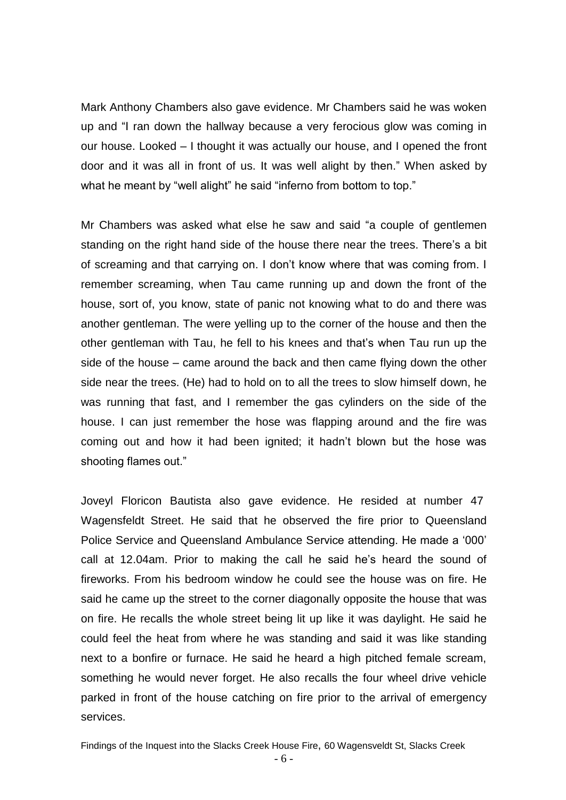Mark Anthony Chambers also gave evidence. Mr Chambers said he was woken up and "I ran down the hallway because a very ferocious glow was coming in our house. Looked – I thought it was actually our house, and I opened the front door and it was all in front of us. It was well alight by then." When asked by what he meant by "well alight" he said "inferno from bottom to top."

Mr Chambers was asked what else he saw and said "a couple of gentlemen standing on the right hand side of the house there near the trees. There's a bit of screaming and that carrying on. I don't know where that was coming from. I remember screaming, when Tau came running up and down the front of the house, sort of, you know, state of panic not knowing what to do and there was another gentleman. The were yelling up to the corner of the house and then the other gentleman with Tau, he fell to his knees and that's when Tau run up the side of the house – came around the back and then came flying down the other side near the trees. (He) had to hold on to all the trees to slow himself down, he was running that fast, and I remember the gas cylinders on the side of the house. I can just remember the hose was flapping around and the fire was coming out and how it had been ignited; it hadn't blown but the hose was shooting flames out."

Joveyl Floricon Bautista also gave evidence. He resided at number 47 Wagensfeldt Street. He said that he observed the fire prior to Queensland Police Service and Queensland Ambulance Service attending. He made a '000' call at 12.04am. Prior to making the call he said he's heard the sound of fireworks. From his bedroom window he could see the house was on fire. He said he came up the street to the corner diagonally opposite the house that was on fire. He recalls the whole street being lit up like it was daylight. He said he could feel the heat from where he was standing and said it was like standing next to a bonfire or furnace. He said he heard a high pitched female scream, something he would never forget. He also recalls the four wheel drive vehicle parked in front of the house catching on fire prior to the arrival of emergency services.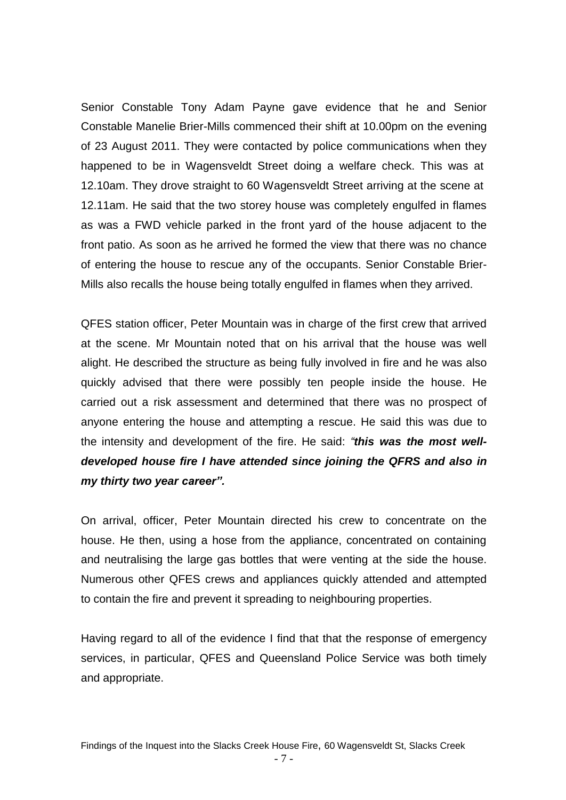Senior Constable Tony Adam Payne gave evidence that he and Senior Constable Manelie Brier-Mills commenced their shift at 10.00pm on the evening of 23 August 2011. They were contacted by police communications when they happened to be in Wagensveldt Street doing a welfare check. This was at 12.10am. They drove straight to 60 Wagensveldt Street arriving at the scene at 12.11am. He said that the two storey house was completely engulfed in flames as was a FWD vehicle parked in the front yard of the house adjacent to the front patio. As soon as he arrived he formed the view that there was no chance of entering the house to rescue any of the occupants. Senior Constable Brier-Mills also recalls the house being totally engulfed in flames when they arrived.

QFES station officer, Peter Mountain was in charge of the first crew that arrived at the scene. Mr Mountain noted that on his arrival that the house was well alight. He described the structure as being fully involved in fire and he was also quickly advised that there were possibly ten people inside the house. He carried out a risk assessment and determined that there was no prospect of anyone entering the house and attempting a rescue. He said this was due to the intensity and development of the fire. He said: *"this was the most welldeveloped house fire I have attended since joining the QFRS and also in my thirty two year career".*

On arrival, officer, Peter Mountain directed his crew to concentrate on the house. He then, using a hose from the appliance, concentrated on containing and neutralising the large gas bottles that were venting at the side the house. Numerous other QFES crews and appliances quickly attended and attempted to contain the fire and prevent it spreading to neighbouring properties.

Having regard to all of the evidence I find that that the response of emergency services, in particular, QFES and Queensland Police Service was both timely and appropriate.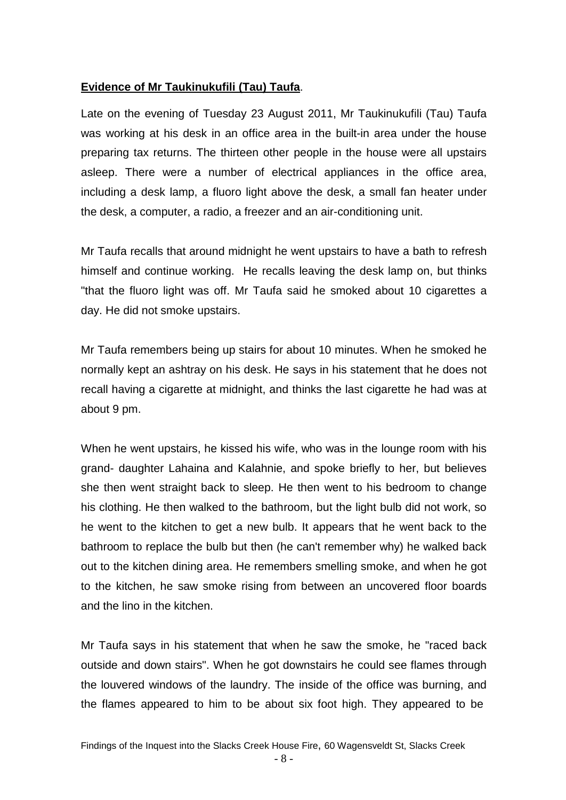# **Evidence of Mr Taukinukufili (Tau) Taufa**.

Late on the evening of Tuesday 23 August 2011, Mr Taukinukufili (Tau) Taufa was working at his desk in an office area in the built-in area under the house preparing tax returns. The thirteen other people in the house were all upstairs asleep. There were a number of electrical appliances in the office area, including a desk lamp, a fluoro light above the desk, a small fan heater under the desk, a computer, a radio, a freezer and an air-conditioning unit.

Mr Taufa recalls that around midnight he went upstairs to have a bath to refresh himself and continue working. He recalls leaving the desk lamp on, but thinks "that the fluoro light was off. Mr Taufa said he smoked about 10 cigarettes a day. He did not smoke upstairs.

Mr Taufa remembers being up stairs for about 10 minutes. When he smoked he normally kept an ashtray on his desk. He says in his statement that he does not recall having a cigarette at midnight, and thinks the last cigarette he had was at about 9 pm.

When he went upstairs, he kissed his wife, who was in the lounge room with his grand- daughter Lahaina and Kalahnie, and spoke briefly to her, but believes she then went straight back to sleep. He then went to his bedroom to change his clothing. He then walked to the bathroom, but the light bulb did not work, so he went to the kitchen to get a new bulb. It appears that he went back to the bathroom to replace the bulb but then (he can't remember why) he walked back out to the kitchen dining area. He remembers smelling smoke, and when he got to the kitchen, he saw smoke rising from between an uncovered floor boards and the lino in the kitchen.

Mr Taufa says in his statement that when he saw the smoke, he "raced back outside and down stairs". When he got downstairs he could see flames through the louvered windows of the laundry. The inside of the office was burning, and the flames appeared to him to be about six foot high. They appeared to be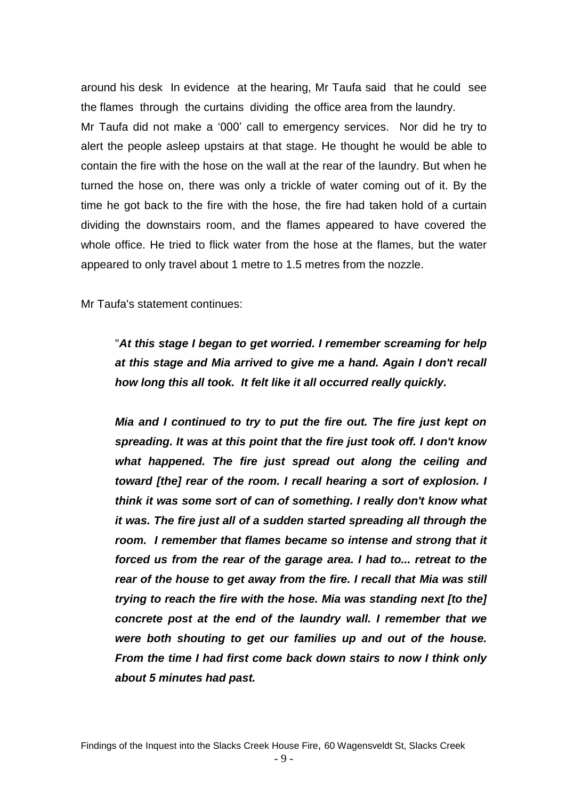around his desk In evidence at the hearing, Mr Taufa said that he could see the flames through the curtains dividing the office area from the laundry. Mr Taufa did not make a '000' call to emergency services. Nor did he try to alert the people asleep upstairs at that stage. He thought he would be able to contain the fire with the hose on the wall at the rear of the laundry. But when he turned the hose on, there was only a trickle of water coming out of it. By the time he got back to the fire with the hose, the fire had taken hold of a curtain dividing the downstairs room, and the flames appeared to have covered the whole office. He tried to flick water from the hose at the flames, but the water appeared to only travel about 1 metre to 1.5 metres from the nozzle.

Mr Taufa's statement continues:

"*At this stage I began to get worried. I remember screaming for help at this stage and Mia arrived to give me a hand. Again I don't recall how long this all took. It felt like it all occurred really quickly.*

*Mia and I continued to try to put the fire out. The fire just kept on spreading. It was at this point that the fire just took off. I don't know what happened. The fire just spread out along the ceiling and toward [the] rear of the room. I recall hearing a sort of explosion. I think it was some sort of can of something. I really don't know what it was. The fire just all of a sudden started spreading all through the*  room. I remember that flames became so intense and strong that it *forced us from the rear of the garage area. I had to... retreat to the rear of the house to get away from the fire. I recall that Mia was still trying to reach the fire with the hose. Mia was standing next [to the] concrete post at the end of the laundry wall. I remember that we were both shouting to get our families up and out of the house. From the time I had first come back down stairs to now I think only about 5 minutes had past.*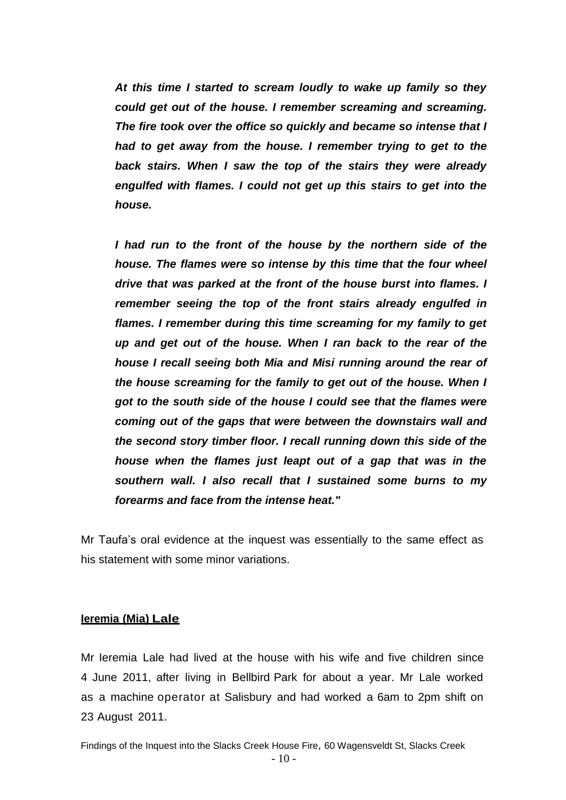*At this time I started to scream loudly to wake up family so they could get out of the house. I remember screaming and screaming. The fire took over the office so quickly and became so intense that I had to get away from the house. I remember trying to get to the back stairs. When I saw the top of the stairs they were already engulfed with flames. I could not get up this stairs to get into the house.*

*I had run to the front of the house by the northern side of the house. The flames were so intense by this time that the four wheel drive that was parked at the front of the house burst into flames. I remember seeing the top of the front stairs already engulfed in flames. I remember during this time screaming for my family to get up and get out of the house. When I ran back to the rear of the house I recall seeing both Mia and Misi running around the rear of the house screaming for the family to get out of the house. When I got to the south side of the house I could see that the flames were coming out of the gaps that were between the downstairs wall and the second story timber floor. I recall running down this side of the house when the flames just leapt out of a gap that was in the southern wall. I also recall that I sustained some burns to my forearms and face from the intense heat."*

Mr Taufa's oral evidence at the inquest was essentially to the same effect as his statement with some minor variations.

#### **Ieremia (Mia) Lale**

Mr Ieremia Lale had lived at the house with his wife and five children since 4 June 2011, after living in Bellbird Park for about a year. Mr Lale worked as a machine operator at Salisbury and had worked a 6am to 2pm shift on 23 August 2011.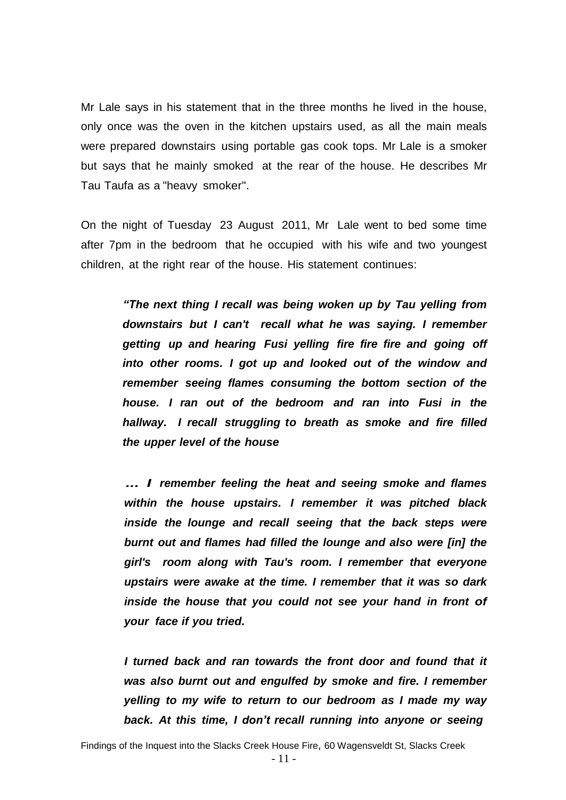Mr Lale says in his statement that in the three months he lived in the house, only once was the oven in the kitchen upstairs used, as all the main meals were prepared downstairs using portable gas cook tops. Mr Lale is a smoker but says that he mainly smoked at the rear of the house. He describes Mr Tau Taufa as a "heavy smoker".

On the night of Tuesday 23 August 2011, Mr Lale went to bed some time after 7pm in the bedroom that he occupied with his wife and two youngest children, at the right rear of the house. His statement continues:

> *"The next thing I recall was being woken up by Tau yelling from downstairs but I can't recall what he was saying. I remember getting up and hearing Fusi yelling fire fire fire and going off into other rooms. I got up and looked out of the window and remember seeing flames consuming the bottom section of the house. I ran out of the bedroom and ran into Fusi in the hallway. I recall struggling to breath as smoke and fire filled the upper level of the house*

> *... I remember feeling the heat and seeing smoke and flames within the house upstairs. I remember it was pitched black inside the lounge and recall seeing that the back steps were burnt out and flames had filled the lounge and also were [in] the girl's room along with Tau's room. I remember that everyone upstairs were awake at the time. I remember that it was so dark inside the house that you could not see your hand in front of your face if you tried.*

> *I turned back and ran towards the front door and found that it was also burnt out and engulfed by smoke and fire. I remember yelling to my wife to return to our bedroom as I made my way back. At this time, I don't recall running into anyone or seeing*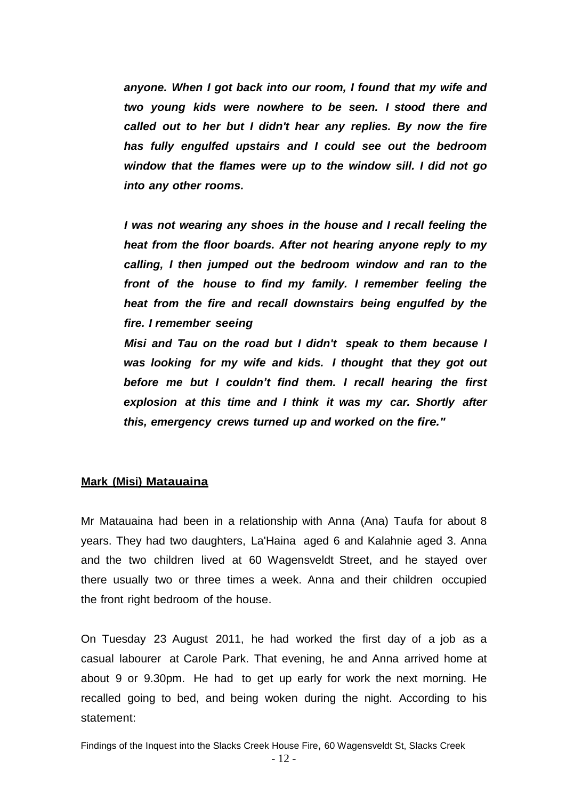*anyone. When I got back into our room, I found that my wife and two young kids were nowhere to be seen. I stood there and called out to her but I didn't hear any replies. By now the fire has fully engulfed upstairs and I could see out the bedroom window that the flames were up to the window sill. I did not go into any other rooms.*

*I was not wearing any shoes in the house and I recall feeling the heat from the floor boards. After not hearing anyone reply to my calling, I then jumped out the bedroom window and ran to the front of the house to find my family. I remember feeling the heat from the fire and recall downstairs being engulfed by the fire. I remember seeing*

*Misi and Tau on the road but I didn't speak to them because I was looking for my wife and kids. I thought that they got out before me but I couldn't find them. I recall hearing the first explosion at this time and I think it was my car. Shortly after this, emergency crews turned up and worked on the fire."*

# **Mark (Misi) Matauaina**

Mr Matauaina had been in a relationship with Anna (Ana) Taufa for about 8 years. They had two daughters, La'Haina aged 6 and Kalahnie aged 3. Anna and the two children lived at 60 Wagensveldt Street, and he stayed over there usually two or three times a week. Anna and their children occupied the front right bedroom of the house.

On Tuesday 23 August 2011, he had worked the first day of a job as a casual labourer at Carole Park. That evening, he and Anna arrived home at about 9 or 9.30pm. He had to get up early for work the next morning. He recalled going to bed, and being woken during the night. According to his statement: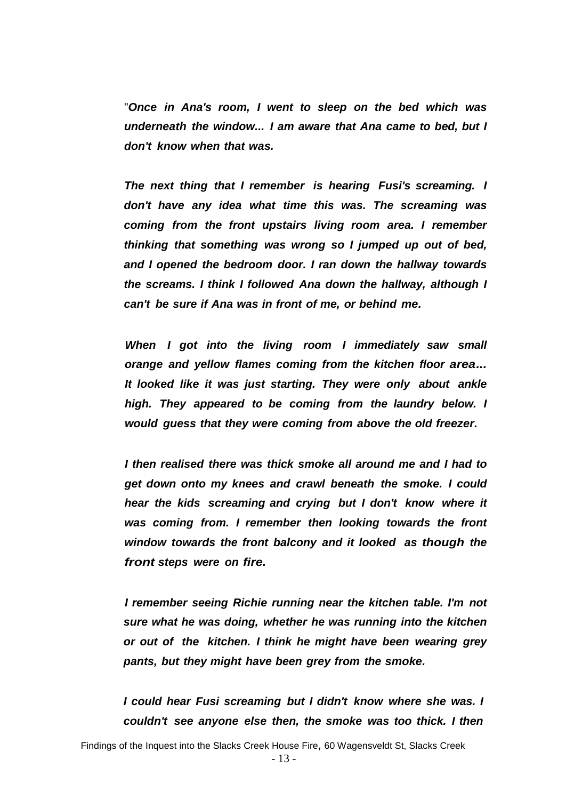"*Once in Ana's room, I went to sleep on the bed which was underneath the window... I am aware that Ana came to bed, but I don't know when that was.*

*The next thing that I remember is hearing Fusi's screaming. I don't have any idea what time this was. The screaming was coming from the front upstairs living room area. I remember thinking that something was wrong so I jumped up out of bed, and I opened the bedroom door. I ran down the hallway towards the screams. I think I followed Ana down the hallway, although I can't be sure if Ana was in front of me, or behind me.*

*When I got into the living room I immediately saw small orange and yellow flames coming from the kitchen floor area... It looked like it was just starting. They were only about ankle high. They appeared to be coming from the laundry below. I would guess that they were coming from above the old freezer.*

*I then realised there was thick smoke all around me and I had to get down onto my knees and crawl beneath the smoke. I could hear the kids screaming and crying but I don't know where it was coming from. I remember then looking towards the front window towards the front balcony and it looked as though the front steps were on fire.*

*I remember seeing Richie running near the kitchen table. I'm not sure what he was doing, whether he was running into the kitchen or out of the kitchen. I think he might have been wearing grey pants, but they might have been grey from the smoke.*

*I could hear Fusi screaming but I didn't know where she was. I couldn't see anyone else then, the smoke was too thick. I then*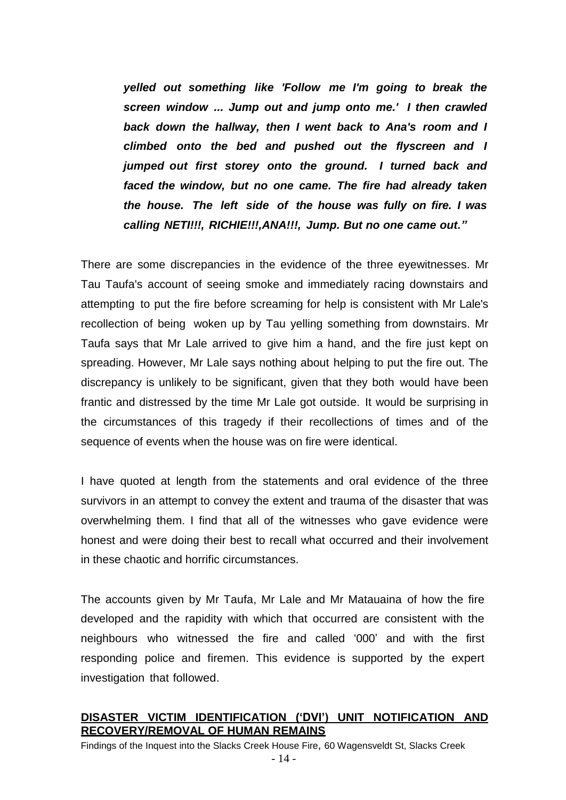*yelled out something like 'Follow me I'm going to break the screen window ... Jump out and jump onto me.' I then crawled back down the hallway, then I went back to Ana's room and I climbed onto the bed and pushed out the flyscreen and I jumped out first storey onto the ground. I turned back and faced the window, but no one came. The fire had already taken the house. The left side of the house was fully on fire. I was calling NETI!!!, RICHIE!!!,ANA!!!, Jump. But no one came out."*

There are some discrepancies in the evidence of the three eyewitnesses. Mr Tau Taufa's account of seeing smoke and immediately racing downstairs and attempting to put the fire before screaming for help is consistent with Mr Lale's recollection of being woken up by Tau yelling something from downstairs. Mr Taufa says that Mr Lale arrived to give him a hand, and the fire just kept on spreading. However, Mr Lale says nothing about helping to put the fire out. The discrepancy is unlikely to be significant, given that they both would have been frantic and distressed by the time Mr Lale got outside. It would be surprising in the circumstances of this tragedy if their recollections of times and of the sequence of events when the house was on fire were identical.

I have quoted at length from the statements and oral evidence of the three survivors in an attempt to convey the extent and trauma of the disaster that was overwhelming them. I find that all of the witnesses who gave evidence were honest and were doing their best to recall what occurred and their involvement in these chaotic and horrific circumstances.

The accounts given by Mr Taufa, Mr Lale and Mr Matauaina of how the fire developed and the rapidity with which that occurred are consistent with the neighbours who witnessed the fire and called '000' and with the first responding police and firemen. This evidence is supported by the expert investigation that followed.

# **DISASTER VICTIM IDENTIFICATION ('DVI') UNIT NOTIFICATION AND RECOVERY/REMOVAL OF HUMAN REMAINS**

Findings of the Inquest into the Slacks Creek House Fire, 60 Wagensveldt St, Slacks Creek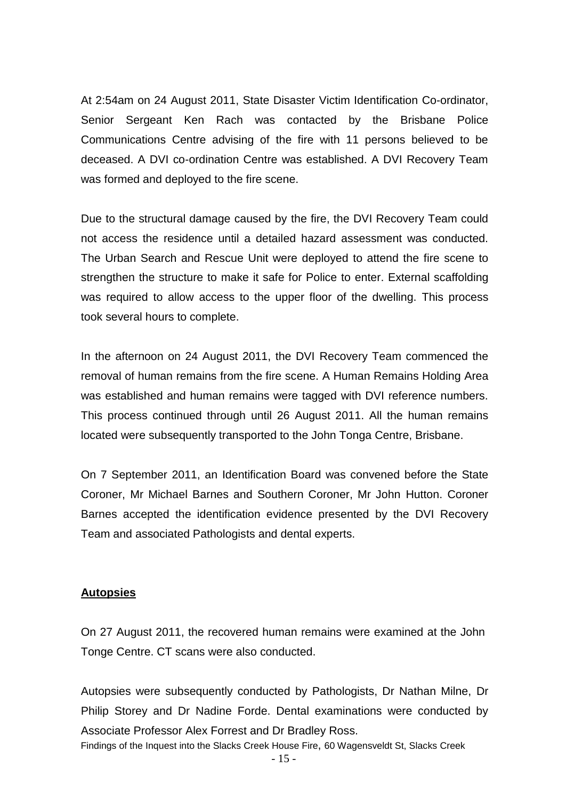At 2:54am on 24 August 2011, State Disaster Victim Identification Co-ordinator, Senior Sergeant Ken Rach was contacted by the Brisbane Police Communications Centre advising of the fire with 11 persons believed to be deceased. A DVI co-ordination Centre was established. A DVI Recovery Team was formed and deployed to the fire scene.

Due to the structural damage caused by the fire, the DVI Recovery Team could not access the residence until a detailed hazard assessment was conducted. The Urban Search and Rescue Unit were deployed to attend the fire scene to strengthen the structure to make it safe for Police to enter. External scaffolding was required to allow access to the upper floor of the dwelling. This process took several hours to complete.

In the afternoon on 24 August 2011, the DVI Recovery Team commenced the removal of human remains from the fire scene. A Human Remains Holding Area was established and human remains were tagged with DVI reference numbers. This process continued through until 26 August 2011. All the human remains located were subsequently transported to the John Tonga Centre, Brisbane.

On 7 September 2011, an Identification Board was convened before the State Coroner, Mr Michael Barnes and Southern Coroner, Mr John Hutton. Coroner Barnes accepted the identification evidence presented by the DVI Recovery Team and associated Pathologists and dental experts.

# **Autopsies**

On 27 August 2011, the recovered human remains were examined at the John Tonge Centre. CT scans were also conducted.

Autopsies were subsequently conducted by Pathologists, Dr Nathan Milne, Dr Philip Storey and Dr Nadine Forde. Dental examinations were conducted by Associate Professor Alex Forrest and Dr Bradley Ross.

Findings of the Inquest into the Slacks Creek House Fire, 60 Wagensveldt St, Slacks Creek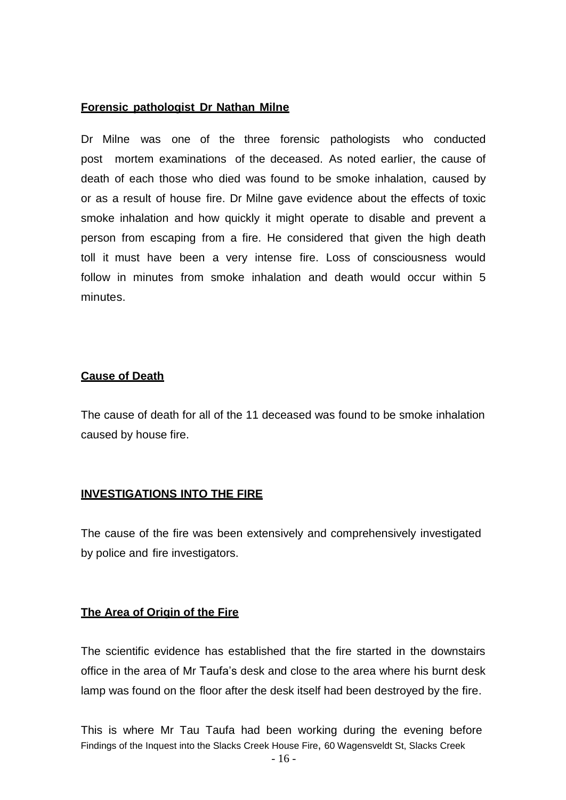#### **Forensic pathologist Dr Nathan Milne**

Dr Milne was one of the three forensic pathologists who conducted post mortem examinations of the deceased. As noted earlier, the cause of death of each those who died was found to be smoke inhalation, caused by or as a result of house fire. Dr Milne gave evidence about the effects of toxic smoke inhalation and how quickly it might operate to disable and prevent a person from escaping from a fire. He considered that given the high death toll it must have been a very intense fire. Loss of consciousness would follow in minutes from smoke inhalation and death would occur within 5 minutes.

# **Cause of Death**

The cause of death for all of the 11 deceased was found to be smoke inhalation caused by house fire.

# **INVESTIGATIONS INTO THE FIRE**

The cause of the fire was been extensively and comprehensively investigated by police and fire investigators.

# **The Area of Origin of the Fire**

The scientific evidence has established that the fire started in the downstairs office in the area of Mr Taufa's desk and close to the area where his burnt desk lamp was found on the floor after the desk itself had been destroyed by the fire.

Findings of the Inquest into the Slacks Creek House Fire, 60 Wagensveldt St, Slacks Creek This is where Mr Tau Taufa had been working during the evening before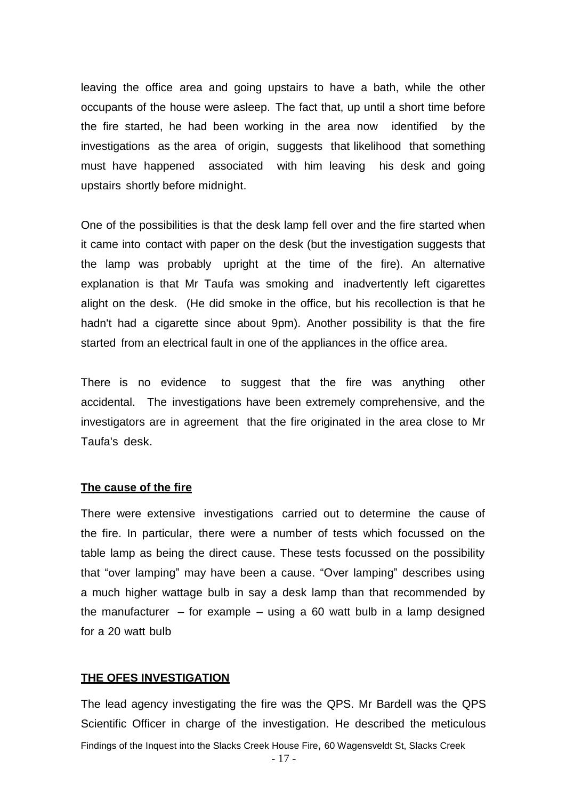leaving the office area and going upstairs to have a bath, while the other occupants of the house were asleep. The fact that, up until a short time before the fire started, he had been working in the area now identified by the investigations as the area of origin, suggests that likelihood that something must have happened associated with him leaving his desk and going upstairs shortly before midnight.

One of the possibilities is that the desk lamp fell over and the fire started when it came into contact with paper on the desk (but the investigation suggests that the lamp was probably upright at the time of the fire). An alternative explanation is that Mr Taufa was smoking and inadvertently left cigarettes alight on the desk. (He did smoke in the office, but his recollection is that he hadn't had a cigarette since about 9pm). Another possibility is that the fire started from an electrical fault in one of the appliances in the office area.

There is no evidence to suggest that the fire was anything other accidental. The investigations have been extremely comprehensive, and the investigators are in agreement that the fire originated in the area close to Mr Taufa's desk.

#### **The cause of the fire**

There were extensive investigations carried out to determine the cause of the fire. In particular, there were a number of tests which focussed on the table lamp as being the direct cause. These tests focussed on the possibility that "over lamping" may have been a cause. "Over lamping" describes using a much higher wattage bulb in say a desk lamp than that recommended by the manufacturer  $-$  for example  $-$  using a 60 watt bulb in a lamp designed for a 20 watt bulb

#### **THE QFES INVESTIGATION**

Findings of the Inquest into the Slacks Creek House Fire, 60 Wagensveldt St, Slacks Creek The lead agency investigating the fire was the QPS. Mr Bardell was the QPS Scientific Officer in charge of the investigation. He described the meticulous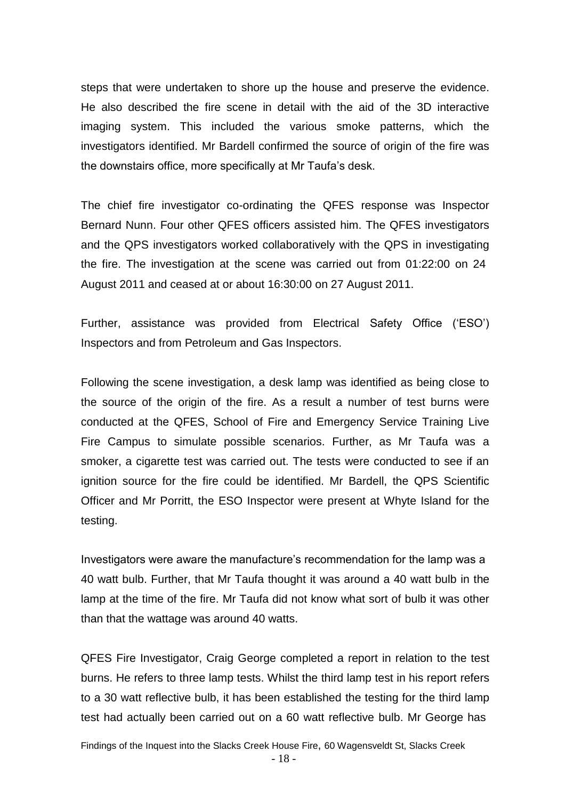steps that were undertaken to shore up the house and preserve the evidence. He also described the fire scene in detail with the aid of the 3D interactive imaging system. This included the various smoke patterns, which the investigators identified. Mr Bardell confirmed the source of origin of the fire was the downstairs office, more specifically at Mr Taufa's desk.

The chief fire investigator co-ordinating the QFES response was Inspector Bernard Nunn. Four other QFES officers assisted him. The QFES investigators and the QPS investigators worked collaboratively with the QPS in investigating the fire. The investigation at the scene was carried out from 01:22:00 on 24 August 2011 and ceased at or about 16:30:00 on 27 August 2011.

Further, assistance was provided from Electrical Safety Office ('ESO') Inspectors and from Petroleum and Gas Inspectors.

Following the scene investigation, a desk lamp was identified as being close to the source of the origin of the fire. As a result a number of test burns were conducted at the QFES, School of Fire and Emergency Service Training Live Fire Campus to simulate possible scenarios. Further, as Mr Taufa was a smoker, a cigarette test was carried out. The tests were conducted to see if an ignition source for the fire could be identified. Mr Bardell, the QPS Scientific Officer and Mr Porritt, the ESO Inspector were present at Whyte Island for the testing.

Investigators were aware the manufacture's recommendation for the lamp was a 40 watt bulb. Further, that Mr Taufa thought it was around a 40 watt bulb in the lamp at the time of the fire. Mr Taufa did not know what sort of bulb it was other than that the wattage was around 40 watts.

QFES Fire Investigator, Craig George completed a report in relation to the test burns. He refers to three lamp tests. Whilst the third lamp test in his report refers to a 30 watt reflective bulb, it has been established the testing for the third lamp test had actually been carried out on a 60 watt reflective bulb. Mr George has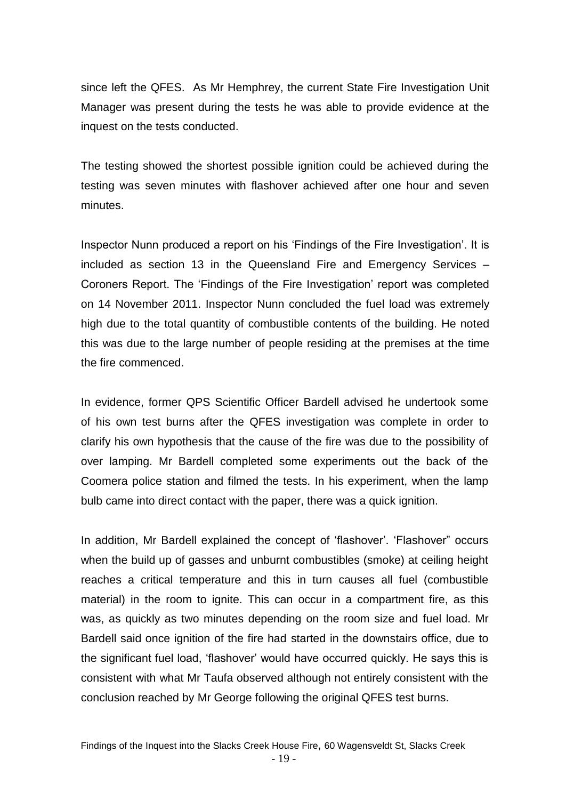since left the QFES. As Mr Hemphrey, the current State Fire Investigation Unit Manager was present during the tests he was able to provide evidence at the inquest on the tests conducted.

The testing showed the shortest possible ignition could be achieved during the testing was seven minutes with flashover achieved after one hour and seven minutes.

Inspector Nunn produced a report on his 'Findings of the Fire Investigation'. It is included as section 13 in the Queensland Fire and Emergency Services – Coroners Report. The 'Findings of the Fire Investigation' report was completed on 14 November 2011. Inspector Nunn concluded the fuel load was extremely high due to the total quantity of combustible contents of the building. He noted this was due to the large number of people residing at the premises at the time the fire commenced.

In evidence, former QPS Scientific Officer Bardell advised he undertook some of his own test burns after the QFES investigation was complete in order to clarify his own hypothesis that the cause of the fire was due to the possibility of over lamping. Mr Bardell completed some experiments out the back of the Coomera police station and filmed the tests. In his experiment, when the lamp bulb came into direct contact with the paper, there was a quick ignition.

In addition, Mr Bardell explained the concept of 'flashover'. 'Flashover" occurs when the build up of gasses and unburnt combustibles (smoke) at ceiling height reaches a critical temperature and this in turn causes all fuel (combustible material) in the room to ignite. This can occur in a compartment fire, as this was, as quickly as two minutes depending on the room size and fuel load. Mr Bardell said once ignition of the fire had started in the downstairs office, due to the significant fuel load, 'flashover' would have occurred quickly. He says this is consistent with what Mr Taufa observed although not entirely consistent with the conclusion reached by Mr George following the original QFES test burns.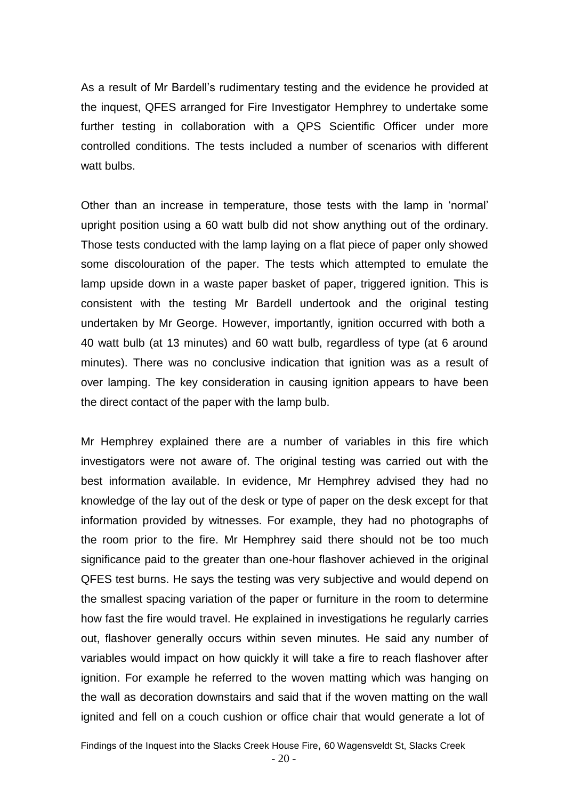As a result of Mr Bardell's rudimentary testing and the evidence he provided at the inquest, QFES arranged for Fire Investigator Hemphrey to undertake some further testing in collaboration with a QPS Scientific Officer under more controlled conditions. The tests included a number of scenarios with different watt bulbs.

Other than an increase in temperature, those tests with the lamp in 'normal' upright position using a 60 watt bulb did not show anything out of the ordinary. Those tests conducted with the lamp laying on a flat piece of paper only showed some discolouration of the paper. The tests which attempted to emulate the lamp upside down in a waste paper basket of paper, triggered ignition. This is consistent with the testing Mr Bardell undertook and the original testing undertaken by Mr George. However, importantly, ignition occurred with both a 40 watt bulb (at 13 minutes) and 60 watt bulb, regardless of type (at 6 around minutes). There was no conclusive indication that ignition was as a result of over lamping. The key consideration in causing ignition appears to have been the direct contact of the paper with the lamp bulb.

Mr Hemphrey explained there are a number of variables in this fire which investigators were not aware of. The original testing was carried out with the best information available. In evidence, Mr Hemphrey advised they had no knowledge of the lay out of the desk or type of paper on the desk except for that information provided by witnesses. For example, they had no photographs of the room prior to the fire. Mr Hemphrey said there should not be too much significance paid to the greater than one-hour flashover achieved in the original QFES test burns. He says the testing was very subjective and would depend on the smallest spacing variation of the paper or furniture in the room to determine how fast the fire would travel. He explained in investigations he regularly carries out, flashover generally occurs within seven minutes. He said any number of variables would impact on how quickly it will take a fire to reach flashover after ignition. For example he referred to the woven matting which was hanging on the wall as decoration downstairs and said that if the woven matting on the wall ignited and fell on a couch cushion or office chair that would generate a lot of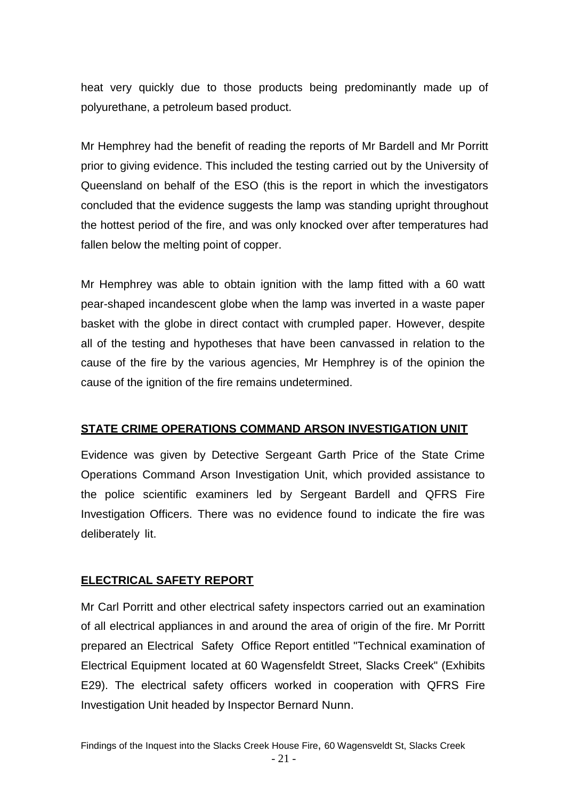heat very quickly due to those products being predominantly made up of polyurethane, a petroleum based product.

Mr Hemphrey had the benefit of reading the reports of Mr Bardell and Mr Porritt prior to giving evidence. This included the testing carried out by the University of Queensland on behalf of the ESO (this is the report in which the investigators concluded that the evidence suggests the lamp was standing upright throughout the hottest period of the fire, and was only knocked over after temperatures had fallen below the melting point of copper.

Mr Hemphrey was able to obtain ignition with the lamp fitted with a 60 watt pear-shaped incandescent globe when the lamp was inverted in a waste paper basket with the globe in direct contact with crumpled paper. However, despite all of the testing and hypotheses that have been canvassed in relation to the cause of the fire by the various agencies, Mr Hemphrey is of the opinion the cause of the ignition of the fire remains undetermined.

# **STATE CRIME OPERATIONS COMMAND ARSON INVESTIGATION UNIT**

Evidence was given by Detective Sergeant Garth Price of the State Crime Operations Command Arson Investigation Unit, which provided assistance to the police scientific examiners led by Sergeant Bardell and QFRS Fire Investigation Officers. There was no evidence found to indicate the fire was deliberately lit.

# **ELECTRICAL SAFETY REPORT**

Mr Carl Porritt and other electrical safety inspectors carried out an examination of all electrical appliances in and around the area of origin of the fire. Mr Porritt prepared an Electrical Safety Office Report entitled "Technical examination of Electrical Equipment located at 60 Wagensfeldt Street, Slacks Creek" (Exhibits E29). The electrical safety officers worked in cooperation with QFRS Fire Investigation Unit headed by Inspector Bernard Nunn.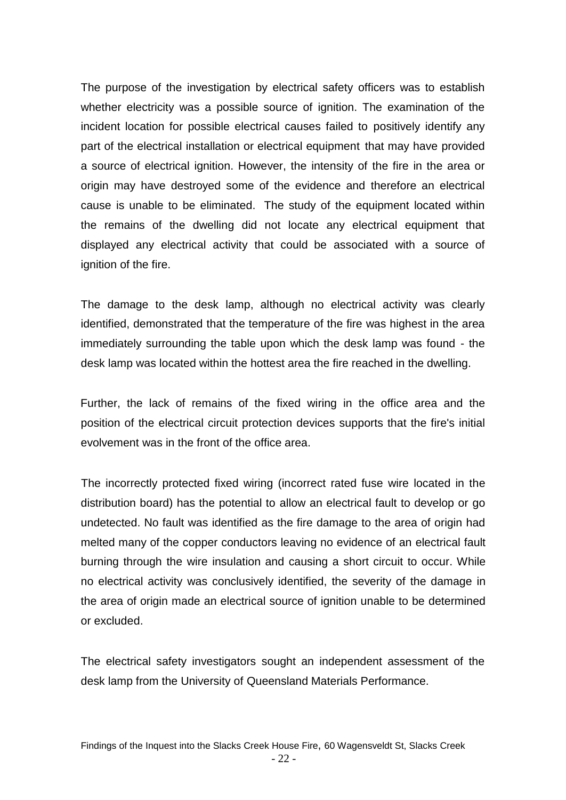The purpose of the investigation by electrical safety officers was to establish whether electricity was a possible source of ignition. The examination of the incident location for possible electrical causes failed to positively identify any part of the electrical installation or electrical equipment that may have provided a source of electrical ignition. However, the intensity of the fire in the area or origin may have destroyed some of the evidence and therefore an electrical cause is unable to be eliminated. The study of the equipment located within the remains of the dwelling did not locate any electrical equipment that displayed any electrical activity that could be associated with a source of ignition of the fire.

The damage to the desk lamp, although no electrical activity was clearly identified, demonstrated that the temperature of the fire was highest in the area immediately surrounding the table upon which the desk lamp was found - the desk lamp was located within the hottest area the fire reached in the dwelling.

Further, the lack of remains of the fixed wiring in the office area and the position of the electrical circuit protection devices supports that the fire's initial evolvement was in the front of the office area.

The incorrectly protected fixed wiring (incorrect rated fuse wire located in the distribution board) has the potential to allow an electrical fault to develop or go undetected. No fault was identified as the fire damage to the area of origin had melted many of the copper conductors leaving no evidence of an electrical fault burning through the wire insulation and causing a short circuit to occur. While no electrical activity was conclusively identified, the severity of the damage in the area of origin made an electrical source of ignition unable to be determined or excluded.

The electrical safety investigators sought an independent assessment of the desk lamp from the University of Queensland Materials Performance.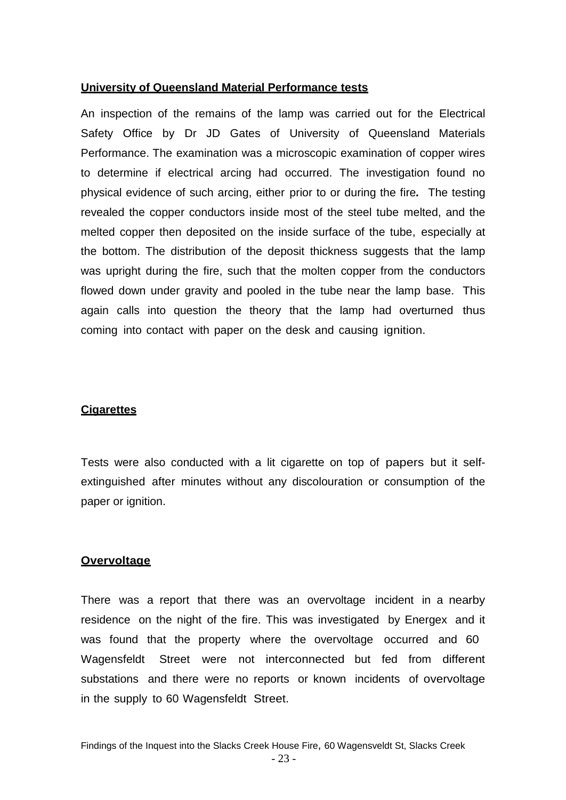### **University of Queensland Material Performance tests**

An inspection of the remains of the lamp was carried out for the Electrical Safety Office by Dr JD Gates of University of Queensland Materials Performance. The examination was a microscopic examination of copper wires to determine if electrical arcing had occurred. The investigation found no physical evidence of such arcing, either prior to or during the fire*.* The testing revealed the copper conductors inside most of the steel tube melted, and the melted copper then deposited on the inside surface of the tube, especially at the bottom. The distribution of the deposit thickness suggests that the lamp was upright during the fire, such that the molten copper from the conductors flowed down under gravity and pooled in the tube near the lamp base. This again calls into question the theory that the lamp had overturned thus coming into contact with paper on the desk and causing ignition.

#### **Cigarettes**

Tests were also conducted with a lit cigarette on top of papers but it selfextinguished after minutes without any discolouration or consumption of the paper or ignition.

#### **Overvoltage**

There was a report that there was an overvoltage incident in a nearby residence on the night of the fire. This was investigated by Energex and it was found that the property where the overvoltage occurred and 60 Wagensfeldt Street were not interconnected but fed from different substations and there were no reports or known incidents of overvoltage in the supply to 60 Wagensfeldt Street.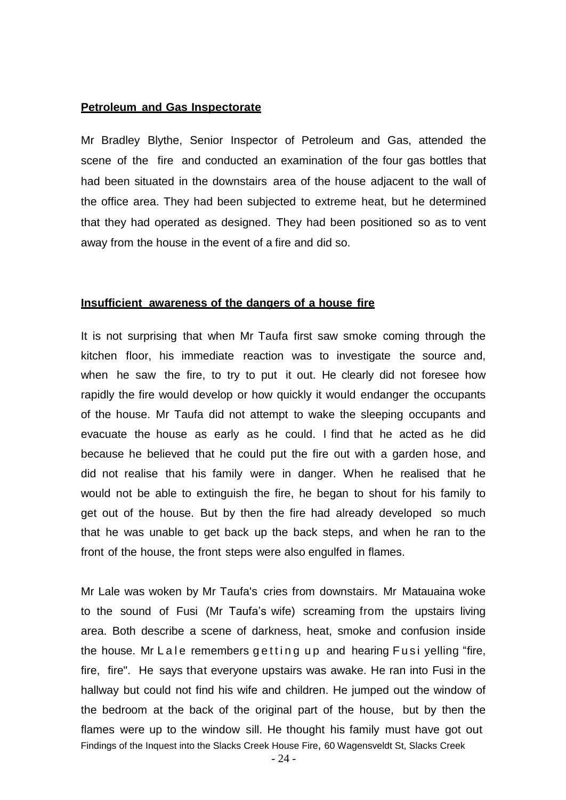#### **Petroleum and Gas Inspectorate**

Mr Bradley Blythe, Senior Inspector of Petroleum and Gas, attended the scene of the fire and conducted an examination of the four gas bottles that had been situated in the downstairs area of the house adjacent to the wall of the office area. They had been subjected to extreme heat, but he determined that they had operated as designed. They had been positioned so as to vent away from the house in the event of a fire and did so.

#### **Insufficient awareness of the dangers of a house fire**

It is not surprising that when Mr Taufa first saw smoke coming through the kitchen floor, his immediate reaction was to investigate the source and, when he saw the fire, to try to put it out. He clearly did not foresee how rapidly the fire would develop or how quickly it would endanger the occupants of the house. Mr Taufa did not attempt to wake the sleeping occupants and evacuate the house as early as he could. I find that he acted as he did because he believed that he could put the fire out with a garden hose, and did not realise that his family were in danger. When he realised that he would not be able to extinguish the fire, he began to shout for his family to get out of the house. But by then the fire had already developed so much that he was unable to get back up the back steps, and when he ran to the front of the house, the front steps were also engulfed in flames.

Findings of the Inquest into the Slacks Creek House Fire, 60 Wagensveldt St, Slacks Creek Mr Lale was woken by Mr Taufa's cries from downstairs. Mr Matauaina woke to the sound of Fusi (Mr Taufa's wife) screaming from the upstairs living area. Both describe a scene of darkness, heat, smoke and confusion inside the house. Mr Lale remembers getting up and hearing Fusi yelling "fire, fire, fire". He says that everyone upstairs was awake. He ran into Fusi in the hallway but could not find his wife and children. He jumped out the window of the bedroom at the back of the original part of the house, but by then the flames were up to the window sill. He thought his family must have got out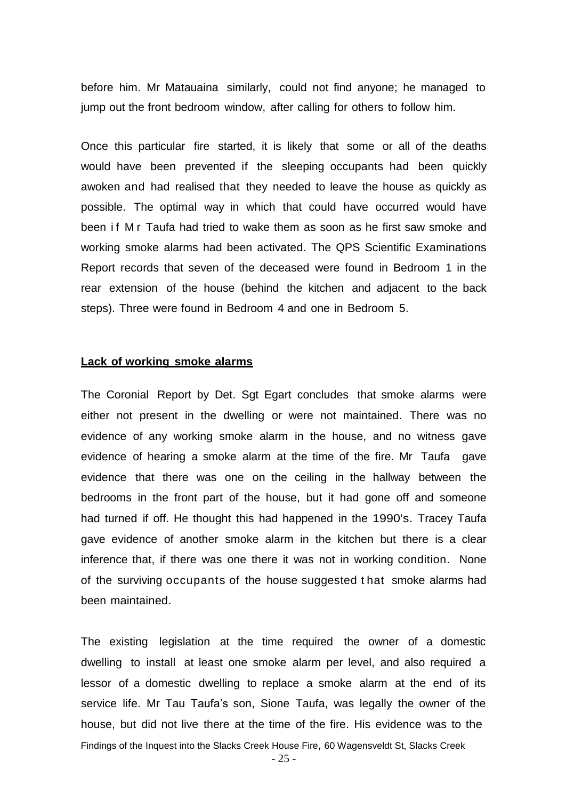before him. Mr Matauaina similarly, could not find anyone; he managed to jump out the front bedroom window, after calling for others to follow him.

Once this particular fire started, it is likely that some or all of the deaths would have been prevented if the sleeping occupants had been quickly awoken and had realised that they needed to leave the house as quickly as possible. The optimal way in which that could have occurred would have been if M r Taufa had tried to wake them as soon as he first saw smoke and working smoke alarms had been activated. The QPS Scientific Examinations Report records that seven of the deceased were found in Bedroom 1 in the rear extension of the house (behind the kitchen and adjacent to the back steps). Three were found in Bedroom 4 and one in Bedroom 5.

#### **Lack of working smoke alarms**

The Coronial Report by Det. Sgt Egart concludes that smoke alarms were either not present in the dwelling or were not maintained. There was no evidence of any working smoke alarm in the house, and no witness gave evidence of hearing a smoke alarm at the time of the fire. Mr Taufa gave evidence that there was one on the ceiling in the hallway between the bedrooms in the front part of the house, but it had gone off and someone had turned if off. He thought this had happened in the 1990's. Tracey Taufa gave evidence of another smoke alarm in the kitchen but there is a clear inference that, if there was one there it was not in working condition. None of the surviving occupants of the house suggested t hat smoke alarms had been maintained.

Findings of the Inquest into the Slacks Creek House Fire, 60 Wagensveldt St, Slacks Creek The existing legislation at the time required the owner of a domestic dwelling to install at least one smoke alarm per level, and also required a lessor of a domestic dwelling to replace a smoke alarm at the end of its service life. Mr Tau Taufa's son, Sione Taufa, was legally the owner of the house, but did not live there at the time of the fire. His evidence was to the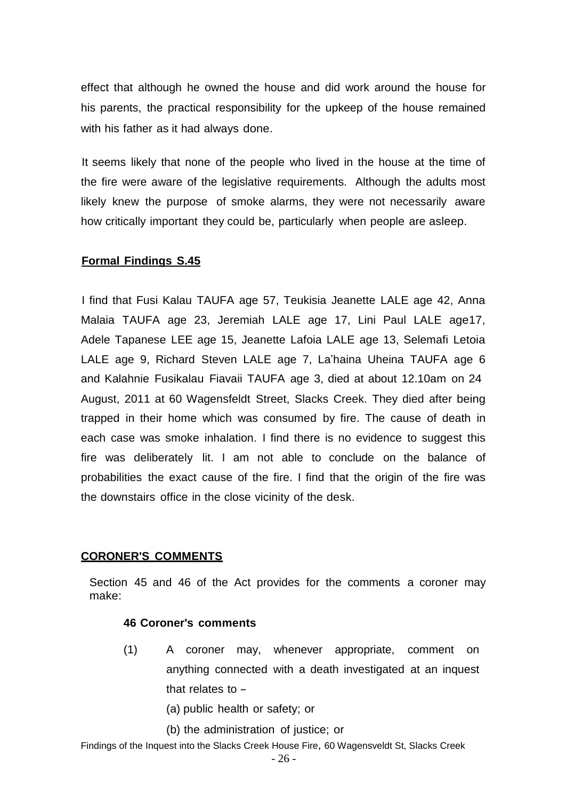effect that although he owned the house and did work around the house for his parents, the practical responsibility for the upkeep of the house remained with his father as it had always done.

It seems likely that none of the people who lived in the house at the time of the fire were aware of the legislative requirements. Although the adults most likely knew the purpose of smoke alarms, they were not necessarily aware how critically important they could be, particularly when people are asleep.

# **Formal Findings S.45**

I find that Fusi Kalau TAUFA age 57, Teukisia Jeanette LALE age 42, Anna Malaia TAUFA age 23, Jeremiah LALE age 17, Lini Paul LALE age17, Adele Tapanese LEE age 15, Jeanette Lafoia LALE age 13, Selemafi Letoia LALE age 9, Richard Steven LALE age 7, La'haina Uheina TAUFA age 6 and Kalahnie Fusikalau Fiavaii TAUFA age 3, died at about 12.10am on 24 August, 2011 at 60 Wagensfeldt Street, Slacks Creek. They died after being trapped in their home which was consumed by fire. The cause of death in each case was smoke inhalation. I find there is no evidence to suggest this fire was deliberately lit. I am not able to conclude on the balance of probabilities the exact cause of the fire. I find that the origin of the fire was the downstairs office in the close vicinity of the desk.

# **CORONER'S COMMENTS**

Section 45 and 46 of the Act provides for the comments a coroner may make:

# **46 Coroner's comments**

- (1) A coroner may, whenever appropriate, comment on anything connected with a death investigated at an inquest that relates to  $-$ 
	- (a) public health or safety; or
	- (b) the administration of justice; or

Findings of the Inquest into the Slacks Creek House Fire, 60 Wagensveldt St, Slacks Creek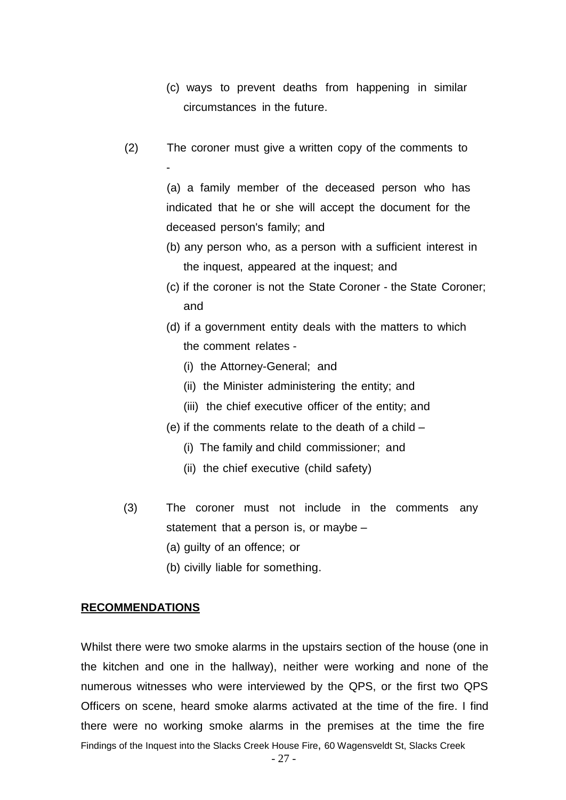- (c) ways to prevent deaths from happening in similar circumstances in the future.
- (2) The coroner must give a written copy of the comments to -

(a) a family member of the deceased person who has indicated that he or she will accept the document for the deceased person's family; and

- (b) any person who, as a person with a sufficient interest in the inquest, appeared at the inquest; and
- (c) if the coroner is not the State Coroner the State Coroner; and
- (d) if a government entity deals with the matters to which the comment relates -
	- (i) the Attorney-General; and
	- (ii) the Minister administering the entity; and
	- (iii) the chief executive officer of the entity; and
- (e) if the comments relate to the death of a child
	- (i) The family and child commissioner; and
	- (ii) the chief executive (child safety)
- (3) The coroner must not include in the comments any statement that a person is, or maybe –
	- (a) guilty of an offence; or
	- (b) civilly liable for something.

#### **RECOMMENDATIONS**

Findings of the Inquest into the Slacks Creek House Fire, 60 Wagensveldt St, Slacks Creek Whilst there were two smoke alarms in the upstairs section of the house (one in the kitchen and one in the hallway), neither were working and none of the numerous witnesses who were interviewed by the QPS, or the first two QPS Officers on scene, heard smoke alarms activated at the time of the fire. I find there were no working smoke alarms in the premises at the time the fire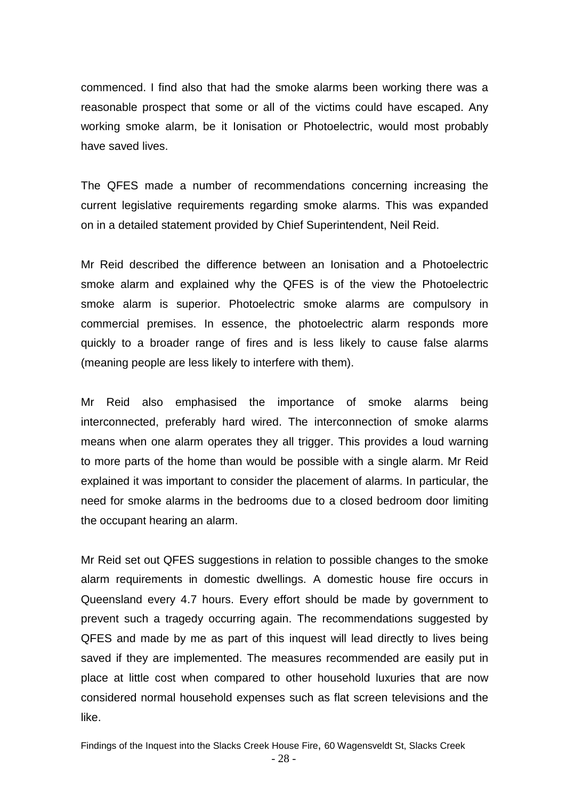commenced. I find also that had the smoke alarms been working there was a reasonable prospect that some or all of the victims could have escaped. Any working smoke alarm, be it Ionisation or Photoelectric, would most probably have saved lives.

The QFES made a number of recommendations concerning increasing the current legislative requirements regarding smoke alarms. This was expanded on in a detailed statement provided by Chief Superintendent, Neil Reid.

Mr Reid described the difference between an Ionisation and a Photoelectric smoke alarm and explained why the QFES is of the view the Photoelectric smoke alarm is superior. Photoelectric smoke alarms are compulsory in commercial premises. In essence, the photoelectric alarm responds more quickly to a broader range of fires and is less likely to cause false alarms (meaning people are less likely to interfere with them).

Mr Reid also emphasised the importance of smoke alarms being interconnected, preferably hard wired. The interconnection of smoke alarms means when one alarm operates they all trigger. This provides a loud warning to more parts of the home than would be possible with a single alarm. Mr Reid explained it was important to consider the placement of alarms. In particular, the need for smoke alarms in the bedrooms due to a closed bedroom door limiting the occupant hearing an alarm.

Mr Reid set out QFES suggestions in relation to possible changes to the smoke alarm requirements in domestic dwellings. A domestic house fire occurs in Queensland every 4.7 hours. Every effort should be made by government to prevent such a tragedy occurring again. The recommendations suggested by QFES and made by me as part of this inquest will lead directly to lives being saved if they are implemented. The measures recommended are easily put in place at little cost when compared to other household luxuries that are now considered normal household expenses such as flat screen televisions and the like.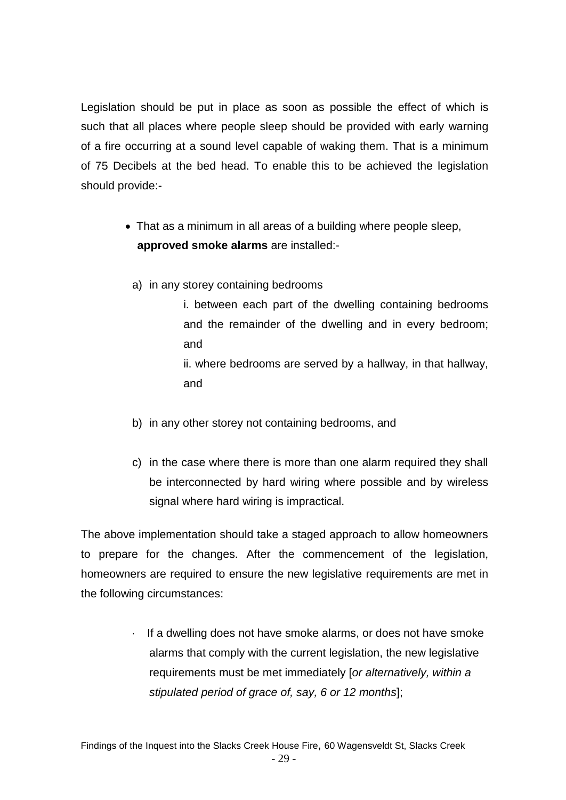Legislation should be put in place as soon as possible the effect of which is such that all places where people sleep should be provided with early warning of a fire occurring at a sound level capable of waking them. That is a minimum of 75 Decibels at the bed head. To enable this to be achieved the legislation should provide:-

- That as a minimum in all areas of a building where people sleep, **approved smoke alarms** are installed:
	- a) in any storey containing bedrooms
		- i. between each part of the dwelling containing bedrooms and the remainder of the dwelling and in every bedroom; and

ii. where bedrooms are served by a hallway, in that hallway, and

- b) in any other storey not containing bedrooms, and
- c) in the case where there is more than one alarm required they shall be interconnected by hard wiring where possible and by wireless signal where hard wiring is impractical.

The above implementation should take a staged approach to allow homeowners to prepare for the changes. After the commencement of the legislation, homeowners are required to ensure the new legislative requirements are met in the following circumstances:

> · If a dwelling does not have smoke alarms, or does not have smoke alarms that comply with the current legislation, the new legislative requirements must be met immediately [*or alternatively, within a stipulated period of grace of, say, 6 or 12 months*];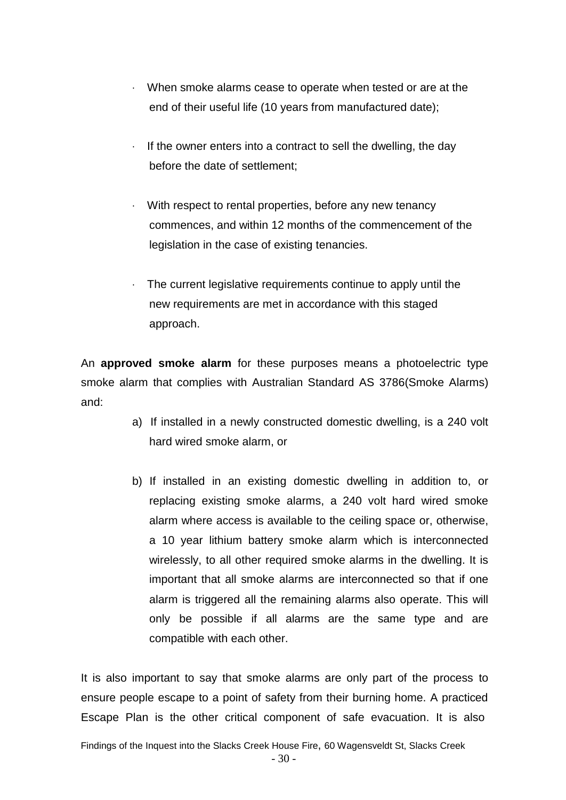- · When smoke alarms cease to operate when tested or are at the end of their useful life (10 years from manufactured date);
- · If the owner enters into a contract to sell the dwelling, the day before the date of settlement;
- · With respect to rental properties, before any new tenancy commences, and within 12 months of the commencement of the legislation in the case of existing tenancies.
- · The current legislative requirements continue to apply until the new requirements are met in accordance with this staged approach.

An **approved smoke alarm** for these purposes means a photoelectric type smoke alarm that complies with Australian Standard AS 3786(Smoke Alarms) and:

- a) If installed in a newly constructed domestic dwelling, is a 240 volt hard wired smoke alarm, or
- b) If installed in an existing domestic dwelling in addition to, or replacing existing smoke alarms, a 240 volt hard wired smoke alarm where access is available to the ceiling space or, otherwise, a 10 year lithium battery smoke alarm which is interconnected wirelessly, to all other required smoke alarms in the dwelling. It is important that all smoke alarms are interconnected so that if one alarm is triggered all the remaining alarms also operate. This will only be possible if all alarms are the same type and are compatible with each other.

It is also important to say that smoke alarms are only part of the process to ensure people escape to a point of safety from their burning home. A practiced Escape Plan is the other critical component of safe evacuation. It is also